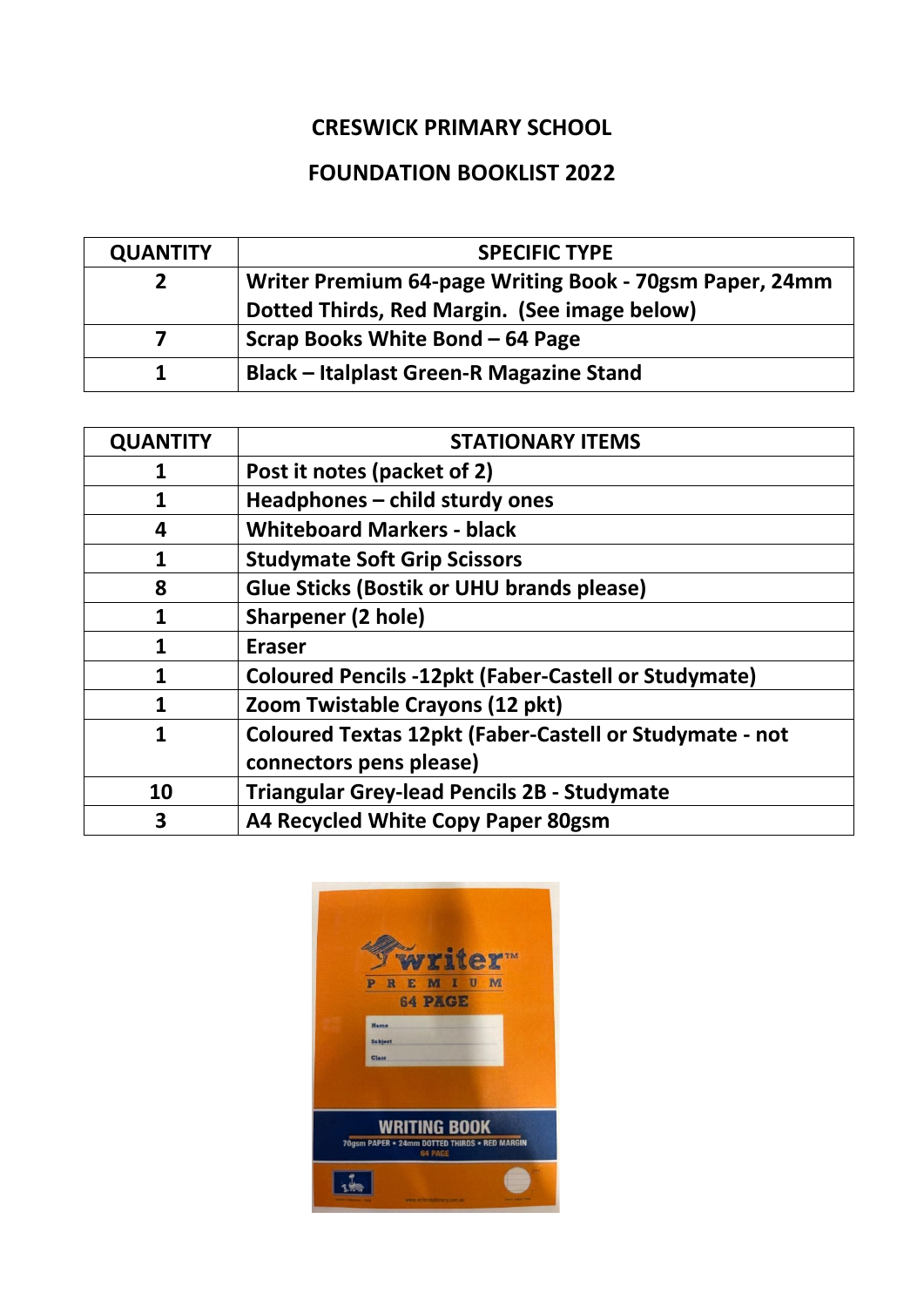## **CRESWICK PRIMARY SCHOOL**

## **FOUNDATION BOOKLIST 2022**

| <b>QUANTITY</b> | <b>SPECIFIC TYPE</b>                                    |
|-----------------|---------------------------------------------------------|
|                 | Writer Premium 64-page Writing Book - 70gsm Paper, 24mm |
|                 | Dotted Thirds, Red Margin. (See image below)            |
|                 | Scrap Books White Bond – 64 Page                        |
|                 | <b>Black – Italplast Green-R Magazine Stand</b>         |

| <b>QUANTITY</b> | <b>STATIONARY ITEMS</b>                                        |
|-----------------|----------------------------------------------------------------|
| 1               | Post it notes (packet of 2)                                    |
|                 | Headphones - child sturdy ones                                 |
| 4               | <b>Whiteboard Markers - black</b>                              |
| 1               | <b>Studymate Soft Grip Scissors</b>                            |
| 8               | <b>Glue Sticks (Bostik or UHU brands please)</b>               |
| 1               | <b>Sharpener (2 hole)</b>                                      |
| 1               | <b>Eraser</b>                                                  |
| 1               | <b>Coloured Pencils -12pkt (Faber-Castell or Studymate)</b>    |
| 1               | Zoom Twistable Crayons (12 pkt)                                |
| 1               | <b>Coloured Textas 12pkt (Faber-Castell or Studymate - not</b> |
|                 | connectors pens please)                                        |
| 10              | <b>Triangular Grey-lead Pencils 2B - Studymate</b>             |
| 3               | A4 Recycled White Copy Paper 80gsm                             |